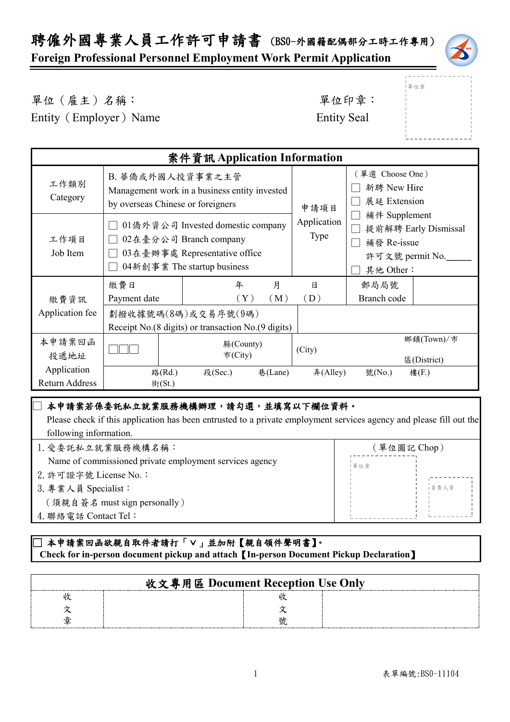聘僱外國專業人員工作許可申請書 (BS0-外國籍配偶部分工時工作專用)

**Foreign Professional Personnel Employment Work Permit Application**



單位(雇主)名稱: 第四章: 李位印章: 第一

Entity (Employer) Name Entity Seal

單位章

| 案件資訊 Application Information         |                                                                                                                             |                                                                             |                           |                            |                                                                                      |                           |
|--------------------------------------|-----------------------------------------------------------------------------------------------------------------------------|-----------------------------------------------------------------------------|---------------------------|----------------------------|--------------------------------------------------------------------------------------|---------------------------|
| 工作類別<br>Category                     | B. 華僑或外國人投資事業之主管<br>Management work in a business entity invested<br>by overseas Chinese or foreigners                      |                                                                             |                           | 申請項目                       | (單選 Choose One)<br>新聘 New Hire<br>展延 Extension                                       |                           |
| 工作項目<br>Job Item                     | 01僑外資公司 Invested domestic company<br>02在臺分公司 Branch company<br>03在臺辦事處 Representative office<br>04新創事業 The startup business |                                                                             |                           | Application<br><b>Type</b> | 補件 Supplement<br>提前解聘 Early Dismissal<br>補發 Re-issue<br>許可文號 permit No.<br>其他 Other: |                           |
|                                      | 繳費日                                                                                                                         | 年                                                                           | 月                         | 日                          | 郵局局號                                                                                 |                           |
| 繳費資訊                                 | Payment date                                                                                                                |                                                                             | $(\,\mathrm{Y}\,)$<br>(M) | (D)                        | Branch code                                                                          |                           |
| Application fee                      |                                                                                                                             | 劃撥收據號碼(8碼)或交易序號(9碼)<br>Receipt No. (8 digits) or transaction No. (9 digits) |                           |                            |                                                                                      |                           |
| 本申請案回函<br>投遞地址                       |                                                                                                                             | 縣(County)<br>市(City)                                                        |                           | (City)                     |                                                                                      | 鄉鎮(Town)/市<br>E(District) |
| Application<br><b>Return Address</b> | 路(Rd.)<br>街(St.)                                                                                                            | 段(Sec.)                                                                     | 巷(Lane)                   | #(Alley)                   | 號(No.)                                                                               | 樓(F.)                     |

#### ] 本申請案若係委託私立就業服務機構辦理,請勾選,並填寫以下欄位資料。

 Please check if this application has been entrusted to a private employment services agency and please fill out the following information.

| 1. 受委託私立就業服務機構名稱:                                       | (單位圖記 Chop) |  |
|---------------------------------------------------------|-------------|--|
| Name of commissioned private employment services agency | 單位章         |  |
| 2. 許可證字號 License No.:                                   |             |  |
| 3. 專業人員 Specialist:                                     | 自青人章        |  |
| (須親自簽名 must sign personally)                            |             |  |
| 4. 聯絡電話 Contact Tel:                                    |             |  |
|                                                         |             |  |

### \_<br>□本申請案回函欲親自取件者請打「∨」並加附【親自領件聲明書】。  **Check for in-person document pickup and attach**【**In-person Document Pickup Declaration**】

| 收文專用區 Document Reception Use Only |  |
|-----------------------------------|--|
|                                   |  |
|                                   |  |
|                                   |  |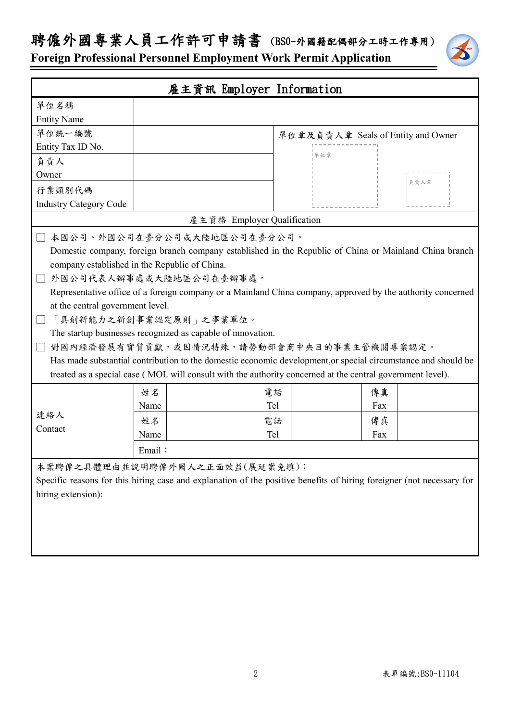# 聘僱外國專業人員工作許可申請書 (BS0-外國籍配偶部分工時工作專用)



**Foreign Professional Personnel Employment Work Permit Application**

| 雇主資訊 Employer Information                                                                                             |                                                                                                               |     |                                    |  |
|-----------------------------------------------------------------------------------------------------------------------|---------------------------------------------------------------------------------------------------------------|-----|------------------------------------|--|
| 單位名稱                                                                                                                  |                                                                                                               |     |                                    |  |
| <b>Entity Name</b>                                                                                                    |                                                                                                               |     |                                    |  |
| 單位統一編號                                                                                                                |                                                                                                               |     | 單位章及負責人章 Seals of Entity and Owner |  |
| Entity Tax ID No.                                                                                                     |                                                                                                               |     |                                    |  |
| 負責人                                                                                                                   |                                                                                                               | 單位章 |                                    |  |
| Owner                                                                                                                 |                                                                                                               |     | ■ 負責人章                             |  |
| 行業類別代碼                                                                                                                |                                                                                                               |     |                                    |  |
| <b>Industry Category Code</b>                                                                                         |                                                                                                               |     |                                    |  |
|                                                                                                                       | 雇主資格 Employer Qualification                                                                                   |     |                                    |  |
|                                                                                                                       | □ 本國公司、外國公司在臺分公司或大陸地區公司在臺分公司。                                                                                 |     |                                    |  |
|                                                                                                                       | Domestic company, foreign branch company established in the Republic of China or Mainland China branch        |     |                                    |  |
|                                                                                                                       | company established in the Republic of China.                                                                 |     |                                    |  |
|                                                                                                                       | 外國公司代表人辦事處或大陸地區公司在臺辦事處。                                                                                       |     |                                    |  |
|                                                                                                                       | Representative office of a foreign company or a Mainland China company, approved by the authority concerned   |     |                                    |  |
| at the central government level.                                                                                      |                                                                                                               |     |                                    |  |
|                                                                                                                       | 「具創新能力之新創事業認定原則」之事業單位。                                                                                        |     |                                    |  |
| The startup businesses recognized as capable of innovation.                                                           |                                                                                                               |     |                                    |  |
|                                                                                                                       | 對國內經濟發展有實質貢獻,或因情況特殊,請勞動部會商中央目的事業主管機關專案認定。                                                                     |     |                                    |  |
|                                                                                                                       | Has made substantial contribution to the domestic economic development, or special circumstance and should be |     |                                    |  |
| treated as a special case (MOL will consult with the authority concerned at the central government level).            |                                                                                                               |     |                                    |  |
|                                                                                                                       | 姓名                                                                                                            | 電話  | 傳真                                 |  |
|                                                                                                                       | Name                                                                                                          | Tel | Fax                                |  |
| 連絡人                                                                                                                   | 姓名                                                                                                            | 電話  | 傳真                                 |  |
| Contact                                                                                                               | Name                                                                                                          | Tel | Fax                                |  |
| Email:                                                                                                                |                                                                                                               |     |                                    |  |
| 本案聘僱之具體理由並說明聘僱外國人之正面效益(展延案免填):                                                                                        |                                                                                                               |     |                                    |  |
| Specific reasons for this hiring case and explanation of the positive benefits of hiring foreigner (not necessary for |                                                                                                               |     |                                    |  |
| hiring extension):                                                                                                    |                                                                                                               |     |                                    |  |
|                                                                                                                       |                                                                                                               |     |                                    |  |
|                                                                                                                       |                                                                                                               |     |                                    |  |
|                                                                                                                       |                                                                                                               |     |                                    |  |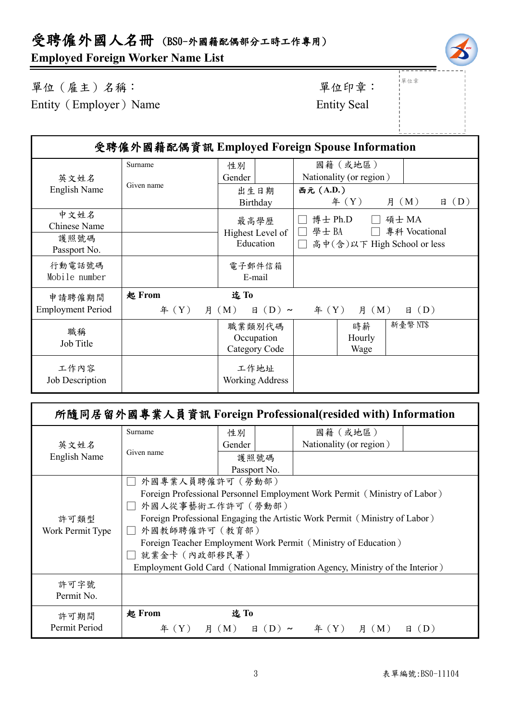

」<br>!單位章

單位(雇主)名稱: 第四章: 李位印章: 第一 Entity (Employer) Name Entity Seal

| 受聘僱外國籍配偶資訊 Employed Foreign Spouse Information |                   |                                       |                                                                          |
|------------------------------------------------|-------------------|---------------------------------------|--------------------------------------------------------------------------|
| 英文姓名                                           | Surname           | 性別<br>Gender                          | 國籍(或地區)<br>Nationality (or region)                                       |
| English Name                                   | Given name        | 出生日期<br>Birthday                      | 西元 (A.D.)<br>年 $(Y)$<br>月 (M)<br>(D)<br>日                                |
| 中文姓名<br>Chinese Name<br>護照號碼<br>Passport No.   |                   | 最高學歷<br>Highest Level of<br>Education | 博士 Ph.D<br>碩士 MA<br>學士BA<br>專科 Vocational<br>高中(含)以下 High School or less |
| 行動電話號碼<br>Mobile number                        |                   | 電子郵件信箱<br>E-mail                      |                                                                          |
| 申請聘僱期間<br><b>Employment Period</b>             | 起 From<br>年 $(Y)$ | 迄To<br>月 (M)<br>$\boxminus$ (D) ~     | $\text{4} (Y)$<br><b>月</b> (M)<br>$\boxplus$ (D)                         |
| 職稱<br>Job Title                                |                   | 職業類別代碼<br>Occupation<br>Category Code | 新臺幣 NT\$<br>時薪<br>Hourly<br>Wage                                         |
| 工作內容<br>Job Description                        |                   | 工作地址<br><b>Working Address</b>        |                                                                          |

| 所隨同居留外國專業人員資訊 Foreign Professional(resided with) Information |                                                                              |                                                                            |  |                                      |             |          |
|--------------------------------------------------------------|------------------------------------------------------------------------------|----------------------------------------------------------------------------|--|--------------------------------------|-------------|----------|
|                                                              | Surname                                                                      | 性別                                                                         |  | 國籍(或地區)                              |             |          |
| 英文姓名                                                         | Given name                                                                   | Gender                                                                     |  | Nationality (or region)              |             |          |
| English Name                                                 |                                                                              | 護照號碼                                                                       |  |                                      |             |          |
|                                                              |                                                                              | Passport No.                                                               |  |                                      |             |          |
|                                                              | 外國專業人員聘僱許可 (勞動部)                                                             |                                                                            |  |                                      |             |          |
|                                                              | Foreign Professional Personnel Employment Work Permit (Ministry of Labor)    |                                                                            |  |                                      |             |          |
|                                                              | 外國人從事藝術工作許可 ( 勞動部)                                                           |                                                                            |  |                                      |             |          |
| 許可類型                                                         |                                                                              | Foreign Professional Engaging the Artistic Work Permit (Ministry of Labor) |  |                                      |             |          |
| Work Permit Type                                             | 外國教師聘僱許可 (教育部)                                                               |                                                                            |  |                                      |             |          |
|                                                              | Foreign Teacher Employment Work Permit (Ministry of Education)               |                                                                            |  |                                      |             |          |
|                                                              | 就業金卡 (內政部移民署)                                                                |                                                                            |  |                                      |             |          |
|                                                              | Employment Gold Card (National Immigration Agency, Ministry of the Interior) |                                                                            |  |                                      |             |          |
| 許可字號                                                         |                                                                              |                                                                            |  |                                      |             |          |
| Permit No.                                                   |                                                                              |                                                                            |  |                                      |             |          |
|                                                              |                                                                              |                                                                            |  |                                      |             |          |
| 許可期間                                                         | 起 From                                                                       | 迄To                                                                        |  |                                      |             |          |
| Permit Period                                                | 年 $(Y)$                                                                      | 月 ( M )                                                                    |  | $\boxplus$ (D) ~ $\cong$ $\cong$ (Y) | <b>月(M)</b> | (D)<br>日 |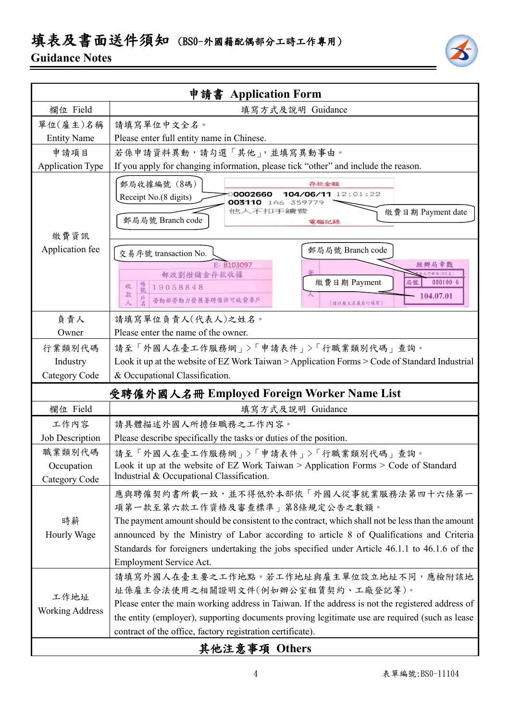## 填表及書面送件須知 (BSO-外國籍配偶部分工時工作專用)

### **Guidance Notes**



| 申請書 Application Form                       |                                                                                                                                                                                                                                                                                                                                                                                                     |  |  |
|--------------------------------------------|-----------------------------------------------------------------------------------------------------------------------------------------------------------------------------------------------------------------------------------------------------------------------------------------------------------------------------------------------------------------------------------------------------|--|--|
| 欄位 Field                                   | 填寫方式及說明 Guidance                                                                                                                                                                                                                                                                                                                                                                                    |  |  |
| 單位(雇主)名稱                                   | 請填寫單位中文全名。                                                                                                                                                                                                                                                                                                                                                                                          |  |  |
| <b>Entity Name</b>                         | Please enter full entity name in Chinese.                                                                                                                                                                                                                                                                                                                                                           |  |  |
| 申請項目                                       | 若係申請資料異動,請勾選「其他」,並填寫異動事由。                                                                                                                                                                                                                                                                                                                                                                           |  |  |
| <b>Application Type</b>                    | If you apply for changing information, please tick "other" and include the reason.                                                                                                                                                                                                                                                                                                                  |  |  |
| 繳費資訊                                       | 郵局收據編號 (8碼)<br>存款金額<br>104/06/11 12:01:22<br>0002660<br>Receipt No.(8 digits)<br><b>003110</b> 1A6<br>359779<br>他人不扣手續讀<br>繳費日期 Payment date<br>郵局局號 Branch code<br>電腦記錄                                                                                                                                                                                                                            |  |  |
| Application fee                            | 郵局局號 Branch code<br>交易序號 transaction No.<br>E-8103097<br>經辦局章戳<br>北門郵局(901支)<br>郵政劃撥儲金存款收據<br>繳費日期 Payment<br>局號<br>$000100 - 6$<br>帳號<br>收<br>19058848<br>款<br>104.07.01<br>勞動部勞動力發展署聘僱許可收費專戶<br>(請以雇主名義自行填寫)                                                                                                                                                                                      |  |  |
| 負責人                                        | 請填寫單位負責人(代表人)之姓名。                                                                                                                                                                                                                                                                                                                                                                                   |  |  |
| Owner                                      | Please enter the name of the owner.                                                                                                                                                                                                                                                                                                                                                                 |  |  |
| 行業類別代碼                                     | 請至「外國人在臺工作服務網」>「申請表件」>「行職業類別代碼」查詢。                                                                                                                                                                                                                                                                                                                                                                  |  |  |
| Industry                                   | Look it up at the website of EZ Work Taiwan > Application Forms > Code of Standard Industrial                                                                                                                                                                                                                                                                                                       |  |  |
| Category Code                              | & Occupational Classification.                                                                                                                                                                                                                                                                                                                                                                      |  |  |
| 受聘僱外國人名冊 Employed Foreign Worker Name List |                                                                                                                                                                                                                                                                                                                                                                                                     |  |  |
| 欄位 Field                                   | 填寫方式及說明 Guidance                                                                                                                                                                                                                                                                                                                                                                                    |  |  |
| 工作內容                                       | 請具體描述外國人所擔任職務之工作內容。                                                                                                                                                                                                                                                                                                                                                                                 |  |  |
| Job Description                            | Please describe specifically the tasks or duties of the position.                                                                                                                                                                                                                                                                                                                                   |  |  |
| 職業類別代碼<br>Occupation<br>Category Code      | 請至「外國人在臺工作服務網」>「申請表件」>「行職業類別代碼」查詢。<br>Look it up at the website of EZ Work Taiwan > Application Forms > Code of Standard<br>Industrial & Occupational Classification.                                                                                                                                                                                                                               |  |  |
| 時薪<br>Hourly Wage                          | 應與聘僱契約書所載一致,並不得低於本部依「外國人從事就業服務法第四十六條第一<br>項第一款至第六款工作資格及審查標準」第8條規定公告之數額。<br>The payment amount should be consistent to the contract, which shall not be less than the amount<br>announced by the Ministry of Labor according to article 8 of Qualifications and Criteria<br>Standards for foreigners undertaking the jobs specified under Article 46.1.1 to 46.1.6 of the<br>Employment Service Act. |  |  |
| 工作地址<br><b>Working Address</b>             | 請填寫外國人在臺主要之工作地點。若工作地址與雇主單位設立地址不同,應檢附該地<br>址係雇主合法使用之相關證明文件(例如辦公室租賃契約、工廠登記等)。<br>Please enter the main working address in Taiwan. If the address is not the registered address of<br>the entity (employer), supporting documents proving legitimate use are required (such as lease<br>contract of the office, factory registration certificate).<br>其他注意事項 Others                                    |  |  |

### 其他注意事項 **Others**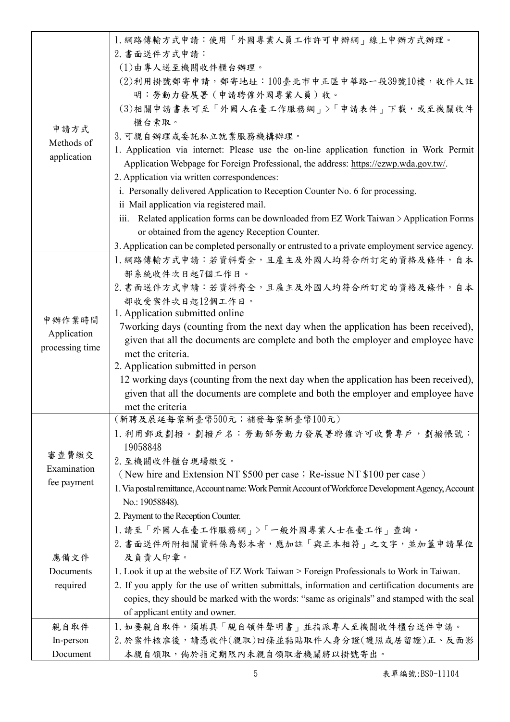|                   | 1. 網路傳輸方式申請:使用「外國專業人員工作許可申辦網」線上申辦方式辦理。                                                               |
|-------------------|------------------------------------------------------------------------------------------------------|
|                   | 2. 書面送件方式申請:                                                                                         |
|                   | (1)由專人送至機關收件櫃台辦理。                                                                                    |
|                   | (2)利用掛號郵寄申請,郵寄地址:100臺北市中正區中華路一段39號10樓,收件人註                                                           |
|                   | 明:勞動力發展署(申請聘僱外國專業人員)收。                                                                               |
|                   | (3)相關申請書表可至「外國人在臺工作服務網」>「申請表件」下載,或至機關收件                                                              |
| 申請方式              | 櫃台索取。                                                                                                |
| Methods of        | 3. 可親自辦理或委託私立就業服務機構辦理。                                                                               |
| application       | 1. Application via internet: Please use the on-line application function in Work Permit              |
|                   | Application Webpage for Foreign Professional, the address: https://ezwp.wda.gov.tw/.                 |
|                   | 2. Application via written correspondences:                                                          |
|                   | i. Personally delivered Application to Reception Counter No. 6 for processing.                       |
|                   | ii Mail application via registered mail.                                                             |
|                   | iii. Related application forms can be downloaded from EZ Work Taiwan > Application Forms             |
|                   | or obtained from the agency Reception Counter.                                                       |
|                   | 3. Application can be completed personally or entrusted to a private employment service agency.      |
|                   | 1. 網路傳輸方式申請:若資料齊全, 且雇主及外國人均符合所訂定的資格及條件, 自本                                                           |
|                   | 部系統收件次日起7個工作日。                                                                                       |
|                   | 2. 書面送件方式申請:若資料齊全,且雇主及外國人均符合所訂定的資格及條件,自本                                                             |
|                   | 部收受案件次日起12個工作日。                                                                                      |
| 申辦作業時間            | 1. Application submitted online                                                                      |
| Application       | 7 working days (counting from the next day when the application has been received),                  |
| processing time   | given that all the documents are complete and both the employer and employee have                    |
|                   | met the criteria.                                                                                    |
|                   | 2. Application submitted in person                                                                   |
|                   | 12 working days (counting from the next day when the application has been received),                 |
|                   | given that all the documents are complete and both the employer and employee have                    |
|                   | met the criteria                                                                                     |
|                   | (新聘及展延每案新臺幣500元;補發每案新臺幣100元)                                                                         |
|                   | 1. 利用郵政劃撥。劃撥戶名:勞動部勞動力發展署聘僱許可收費專戶,劃撥帳號:                                                               |
| 審查費繳交             | 19058848                                                                                             |
| Examination       | 2. 至機關收件櫃台現場繳交。                                                                                      |
| fee payment       | (New hire and Extension NT \$500 per case; Re-issue NT \$100 per case)                               |
|                   | 1. Via postal remittance, Account name: Work Permit Account of Workforce Development Agency, Account |
|                   | No.: 19058848).                                                                                      |
|                   | 2. Payment to the Reception Counter.                                                                 |
|                   | 1. 請至「外國人在臺工作服務網」>「一般外國專業人士在臺工作」查詢。                                                                  |
| 應備文件<br>Documents | 2. 書面送件所附相關資料係為影本者,應加註「與正本相符」之文字,並加蓋申請單位                                                             |
|                   | 及負責人印章。                                                                                              |
|                   | 1. Look it up at the website of EZ Work Taiwan > Foreign Professionals to Work in Taiwan.            |
| required          | 2. If you apply for the use of written submittals, information and certification documents are       |
|                   | copies, they should be marked with the words: "same as originals" and stamped with the seal          |
|                   | of applicant entity and owner.                                                                       |
| 親自取件              | 1. 如要親自取件,須填具「親自領件聲明書」並指派專人至機關收件櫃台送件申請。                                                              |
| In-person         | 2. 於案件核准後,請憑收件(親取)回條並黏貼取件人身分證(護照或居留證)正、反面影                                                           |
| Document          | 本親自領取,倘於指定期限內未親自領取者機關將以掛號寄出。                                                                         |